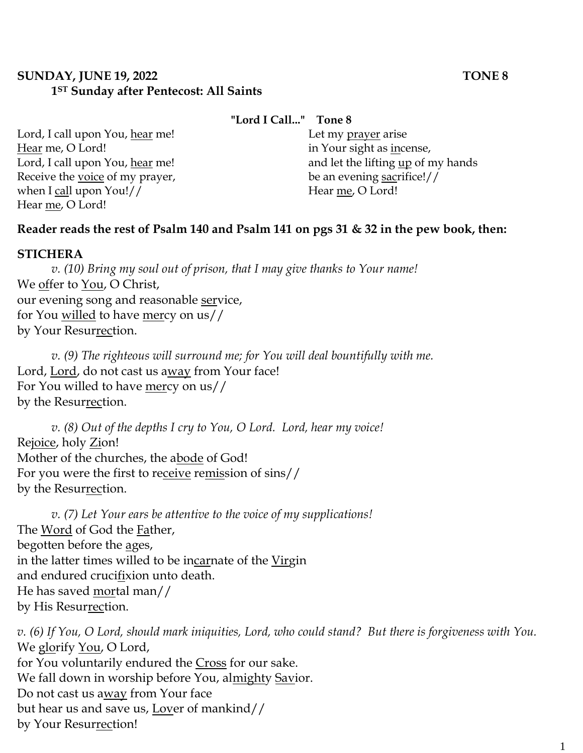## **SUNDAY, JUNE 19, 2022 TONE 8 1ST Sunday after Pentecost: All Saints**

#### **"Lord I Call..." Tone 8**

Lord, I call upon You, hear me! Hear me, O Lord! Lord, I call upon You, hear me! Receive the voice of my prayer, when I call upon You!// Hear me, O Lord!

Let my prayer arise in Your sight as incense, and let the lifting up of my hands be an evening sacrifice!// Hear me, O Lord!

# **Reader reads the rest of Psalm 140 and Psalm 141 on pgs 31 & 32 in the pew book, then:**

#### **STICHERA**

*v. (10) Bring my soul out of prison, that I may give thanks to Your name!*  We offer to You, O Christ, our evening song and reasonable service, for You willed to have mercy on us// by Your Resurrection.

*v. (9) The righteous will surround me; for You will deal bountifully with me.*  Lord, Lord, do not cast us away from Your face! For You willed to have mercy on us// by the Resurrection.

*v. (8) Out of the depths I cry to You, O Lord. Lord, hear my voice!* Rejoice, holy Zion! Mother of the churches, the abode of God! For you were the first to receive remission of sins// by the Resurrection.

*v. (7) Let Your ears be attentive to the voice of my supplications!* The Word of God the Father, begotten before the ages, in the latter times willed to be incarnate of the Virgin and endured crucifixion unto death. He has saved mortal man// by His Resurrection.

*v. (6) If You, O Lord, should mark iniquities, Lord, who could stand? But there is forgiveness with You.*  We glorify You, O Lord, for You voluntarily endured the Cross for our sake. We fall down in worship before You, almighty Savior. Do not cast us away from Your face but hear us and save us, Lover of mankind// by Your Resurrection!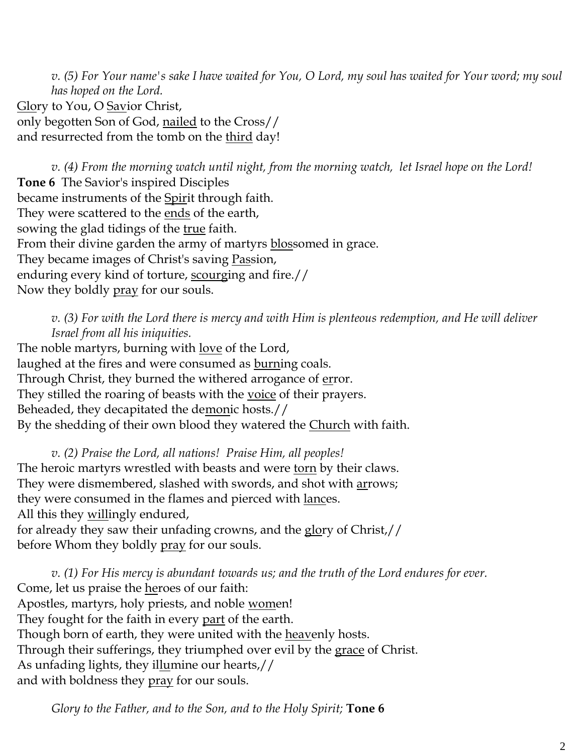*v. (5) For Your name's sake I have waited for You, O Lord, my soul has waited for Your word; my soul has hoped on the Lord.*  Glory to You, O Savior Christ, only begotten Son of God, nailed to the Cross// and resurrected from the tomb on the third day!

*v. (4) From the morning watch until night, from the morning watch, let Israel hope on the Lord!* **Tone 6** The Savior's inspired Disciples became instruments of the Spirit through faith. They were scattered to the ends of the earth, sowing the glad tidings of the <u>true</u> faith. From their divine garden the army of martyrs blossomed in grace. They became images of Christ's saving Passion, enduring every kind of torture, scourging and fire.// Now they boldly pray for our souls.

*v. (3) For with the Lord there is mercy and with Him is plenteous redemption, and He will deliver Israel from all his iniquities.*

The noble martyrs, burning with <u>love</u> of the Lord, laughed at the fires and were consumed as **burning** coals. Through Christ, they burned the withered arrogance of error. They stilled the roaring of beasts with the <u>voice</u> of their prayers. Beheaded, they decapitated the demonic hosts.// By the shedding of their own blood they watered the Church with faith.

*v. (2) Praise the Lord, all nations! Praise Him, all peoples!* The heroic martyrs wrestled with beasts and were torn by their claws. They were dismembered, slashed with swords, and shot with arrows; they were consumed in the flames and pierced with <u>lances</u>. All this they willingly endured, for already they saw their unfading crowns, and the glory of Christ,// before Whom they boldly pray for our souls.

*v. (1) For His mercy is abundant towards us; and the truth of the Lord endures for ever.*  Come, let us praise the heroes of our faith: Apostles, martyrs, holy priests, and noble women! They fought for the faith in every <u>part</u> of the earth. Though born of earth, they were united with the heavenly hosts. Through their sufferings, they triumphed over evil by the grace of Christ. As unfading lights, they illumine our hearts,// and with boldness they pray for our souls.

*Glory to the Father, and to the Son, and to the Holy Spirit;* **Tone 6**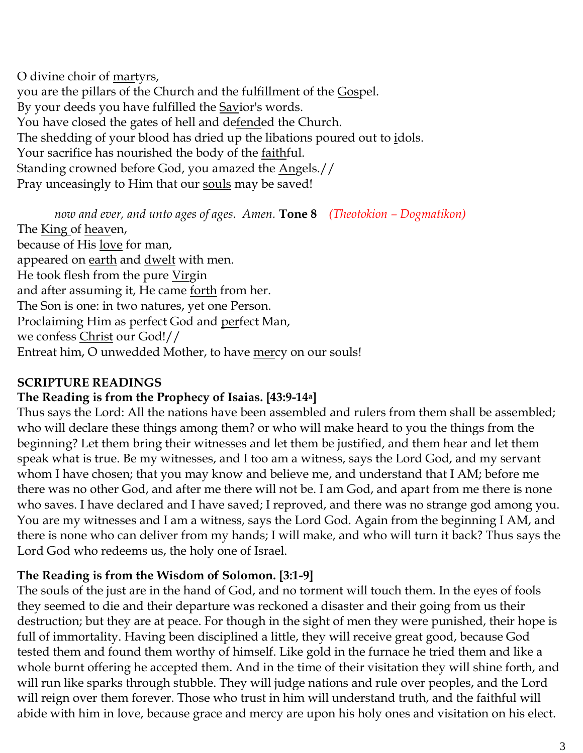O divine choir of martyrs, you are the pillars of the Church and the fulfillment of the Gospel. By your deeds you have fulfilled the Savior's words. You have closed the gates of hell and defended the Church. The shedding of your blood has dried up the libations poured out to idols. Your sacrifice has nourished the body of the <u>faithf</u>ul. Standing crowned before God, you amazed the Angels.// Pray unceasingly to Him that our souls may be saved!

*now and ever, and unto ages of ages. Amen.* **Tone 8** *(Theotokion – Dogmatikon)* The King of heaven, because of His love for man, appeared on earth and dwelt with men. He took flesh from the pure Virgin and after assuming it, He came <u>forth</u> from her. The Son is one: in two natures, yet one Person. Proclaiming Him as perfect God and perfect Man, we confess Christ our God!// Entreat him, O unwedded Mother, to have mercy on our souls!

## **SCRIPTURE READINGS**

## **The Reading is from the Prophecy of Isaias. [43:9-14a]**

Thus says the Lord: All the nations have been assembled and rulers from them shall be assembled; who will declare these things among them? or who will make heard to you the things from the beginning? Let them bring their witnesses and let them be justified, and them hear and let them speak what is true. Be my witnesses, and I too am a witness, says the Lord God, and my servant whom I have chosen; that you may know and believe me, and understand that I AM; before me there was no other God, and after me there will not be. I am God, and apart from me there is none who saves. I have declared and I have saved; I reproved, and there was no strange god among you. You are my witnesses and I am a witness, says the Lord God. Again from the beginning I AM, and there is none who can deliver from my hands; I will make, and who will turn it back? Thus says the Lord God who redeems us, the holy one of Israel.

## **The Reading is from the Wisdom of Solomon. [3:1-9]**

The souls of the just are in the hand of God, and no torment will touch them. In the eyes of fools they seemed to die and their departure was reckoned a disaster and their going from us their destruction; but they are at peace. For though in the sight of men they were punished, their hope is full of immortality. Having been disciplined a little, they will receive great good, because God tested them and found them worthy of himself. Like gold in the furnace he tried them and like a whole burnt offering he accepted them. And in the time of their visitation they will shine forth, and will run like sparks through stubble. They will judge nations and rule over peoples, and the Lord will reign over them forever. Those who trust in him will understand truth, and the faithful will abide with him in love, because grace and mercy are upon his holy ones and visitation on his elect.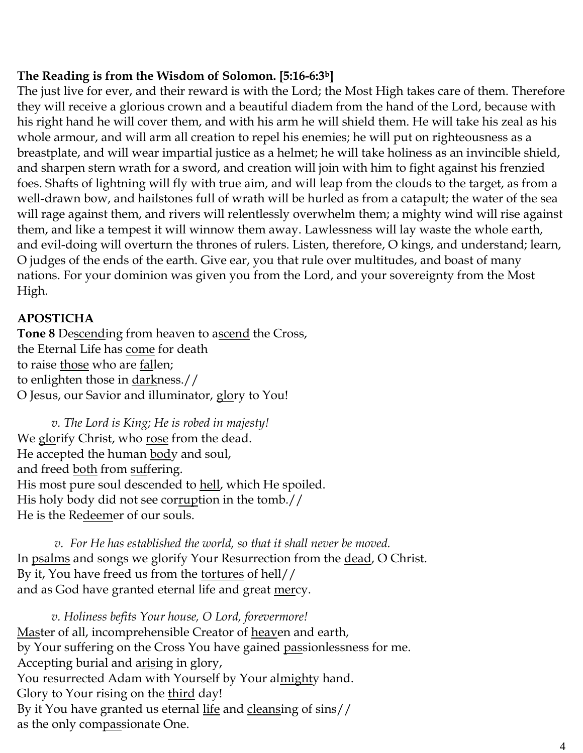# **The Reading is from the Wisdom of Solomon. [5:16-6:3b]**

The just live for ever, and their reward is with the Lord; the Most High takes care of them. Therefore they will receive a glorious crown and a beautiful diadem from the hand of the Lord, because with his right hand he will cover them, and with his arm he will shield them. He will take his zeal as his whole armour, and will arm all creation to repel his enemies; he will put on righteousness as a breastplate, and will wear impartial justice as a helmet; he will take holiness as an invincible shield, and sharpen stern wrath for a sword, and creation will join with him to fight against his frenzied foes. Shafts of lightning will fly with true aim, and will leap from the clouds to the target, as from a well-drawn bow, and hailstones full of wrath will be hurled as from a catapult; the water of the sea will rage against them, and rivers will relentlessly overwhelm them; a mighty wind will rise against them, and like a tempest it will winnow them away. Lawlessness will lay waste the whole earth, and evil-doing will overturn the thrones of rulers. Listen, therefore, O kings, and understand; learn, O judges of the ends of the earth. Give ear, you that rule over multitudes, and boast of many nations. For your dominion was given you from the Lord, and your sovereignty from the Most High.

# **APOSTICHA**

**Tone 8** Descending from heaven to ascend the Cross, the Eternal Life has come for death to raise those who are fallen; to enlighten those in darkness.// O Jesus, our Savior and illuminator, glory to You!

*v. The Lord is King; He is robed in majesty!*  We glorify Christ, who rose from the dead. He accepted the human body and soul, and freed <u>both</u> from suffering. His most pure soul descended to hell, which He spoiled. His holy body did not see corruption in the tomb.// He is the Redeemer of our souls.

*v. For He has established the world, so that it shall never be moved.* In psalms and songs we glorify Your Resurrection from the dead, O Christ. By it, You have freed us from the <u>tortures</u> of hell// and as God have granted eternal life and great <u>mer</u>cy.

*v. Holiness befits Your house, O Lord, forevermore!*  Master of all, incomprehensible Creator of heaven and earth, by Your suffering on the Cross You have gained passionlessness for me. Accepting burial and arising in glory, You resurrected Adam with Yourself by Your almighty hand. Glory to Your rising on the third day! By it You have granted us eternal life and cleansing of sins// as the only compassionate One.